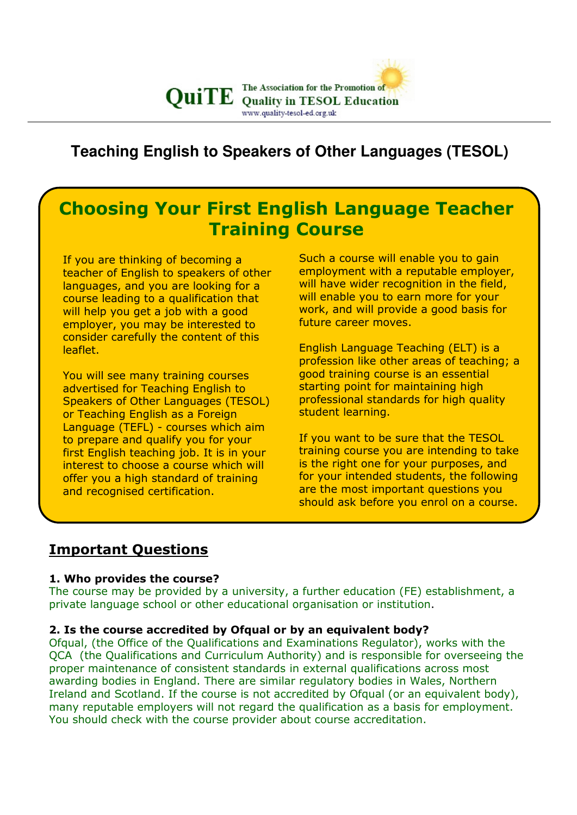

# **Teaching English to Speakers of Other Languages (TESOL)**

# Choosing Your First English Language Teacher Training Course

If you are thinking of becoming a teacher of English to speakers of other languages, and you are looking for a course leading to a qualification that will help you get a job with a good employer, you may be interested to consider carefully the content of this leaflet.

You will see many training courses advertised for Teaching English to Speakers of Other Languages (TESOL) or Teaching English as a Foreign Language (TEFL) - courses which aim to prepare and qualify you for your first English teaching job. It is in your interest to choose a course which will offer you a high standard of training and recognised certification.

Such a course will enable you to gain employment with a reputable employer, will have wider recognition in the field, will enable you to earn more for your work, and will provide a good basis for future career moves.

English Language Teaching (ELT) is a profession like other areas of teaching; a good training course is an essential starting point for maintaining high professional standards for high quality student learning.

If you want to be sure that the TESOL training course you are intending to take is the right one for your purposes, and for your intended students, the following are the most important questions you should ask before you enrol on a course.

## Important Questions

#### 1. Who provides the course?

The course may be provided by a university, a further education (FE) establishment, a private language school or other educational organisation or institution.

#### 2. Is the course accredited by Ofqual or by an equivalent body?

Ofqual, (the Office of the Qualifications and Examinations Regulator), works with the QCA (the Qualifications and Curriculum Authority) and is responsible for overseeing the proper maintenance of consistent standards in external qualifications across most awarding bodies in England. There are similar regulatory bodies in Wales, Northern Ireland and Scotland. If the course is not accredited by Ofqual (or an equivalent body), many reputable employers will not regard the qualification as a basis for employment. You should check with the course provider about course accreditation.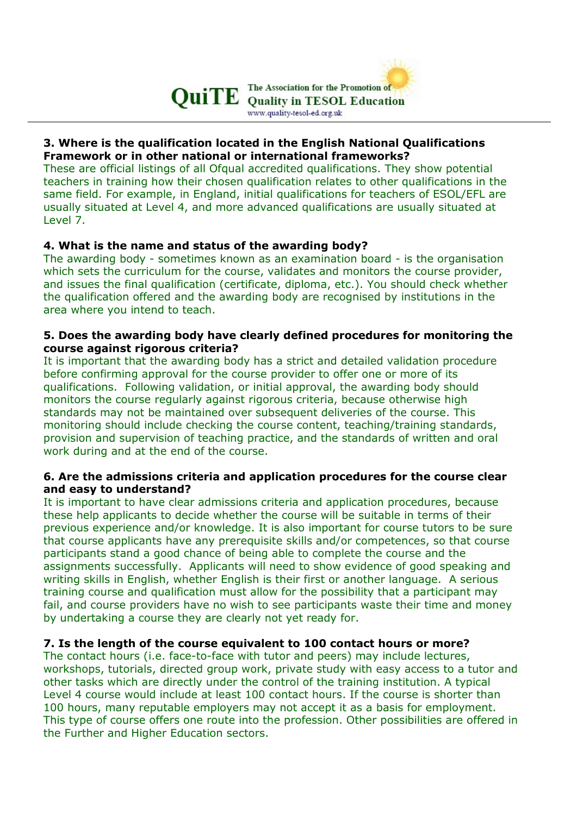

## 3. Where is the qualification located in the English National Qualifications Framework or in other national or international frameworks?

These are official listings of all Ofqual accredited qualifications. They show potential teachers in training how their chosen qualification relates to other qualifications in the same field. For example, in England, initial qualifications for teachers of ESOL/EFL are usually situated at Level 4, and more advanced qualifications are usually situated at Level 7.

## 4. What is the name and status of the awarding body?

The awarding body - sometimes known as an examination board - is the organisation which sets the curriculum for the course, validates and monitors the course provider, and issues the final qualification (certificate, diploma, etc.). You should check whether the qualification offered and the awarding body are recognised by institutions in the area where you intend to teach.

## 5. Does the awarding body have clearly defined procedures for monitoring the course against rigorous criteria?

It is important that the awarding body has a strict and detailed validation procedure before confirming approval for the course provider to offer one or more of its qualifications. Following validation, or initial approval, the awarding body should monitors the course regularly against rigorous criteria, because otherwise high standards may not be maintained over subsequent deliveries of the course. This monitoring should include checking the course content, teaching/training standards, provision and supervision of teaching practice, and the standards of written and oral work during and at the end of the course.

## 6. Are the admissions criteria and application procedures for the course clear and easy to understand?

It is important to have clear admissions criteria and application procedures, because these help applicants to decide whether the course will be suitable in terms of their previous experience and/or knowledge. It is also important for course tutors to be sure that course applicants have any prerequisite skills and/or competences, so that course participants stand a good chance of being able to complete the course and the assignments successfully. Applicants will need to show evidence of good speaking and writing skills in English, whether English is their first or another language. A serious training course and qualification must allow for the possibility that a participant may fail, and course providers have no wish to see participants waste their time and money by undertaking a course they are clearly not yet ready for.

## 7. Is the length of the course equivalent to 100 contact hours or more?

The contact hours (i.e. face-to-face with tutor and peers) may include lectures, workshops, tutorials, directed group work, private study with easy access to a tutor and other tasks which are directly under the control of the training institution. A typical Level 4 course would include at least 100 contact hours. If the course is shorter than 100 hours, many reputable employers may not accept it as a basis for employment. This type of course offers one route into the profession. Other possibilities are offered in the Further and Higher Education sectors.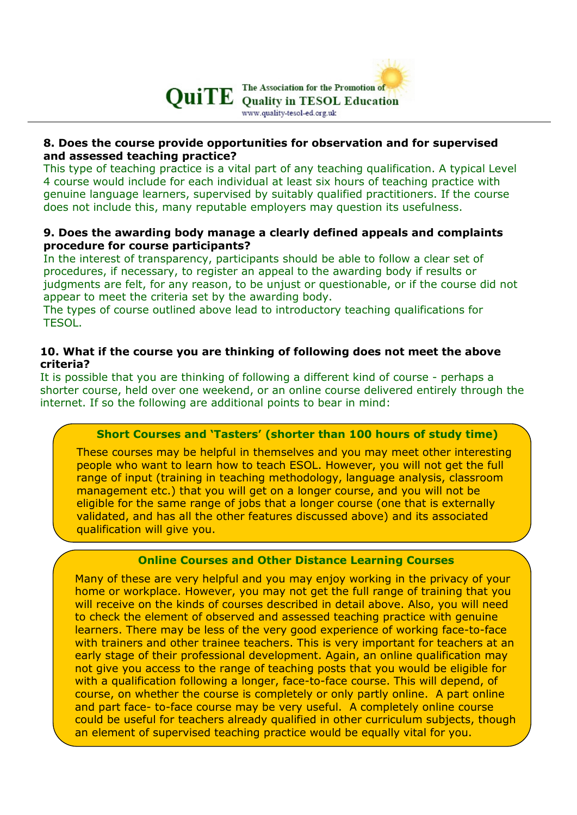

## 8. Does the course provide opportunities for observation and for supervised and assessed teaching practice?

This type of teaching practice is a vital part of any teaching qualification. A typical Level 4 course would include for each individual at least six hours of teaching practice with genuine language learners, supervised by suitably qualified practitioners. If the course does not include this, many reputable employers may question its usefulness.

## 9. Does the awarding body manage a clearly defined appeals and complaints procedure for course participants?

In the interest of transparency, participants should be able to follow a clear set of procedures, if necessary, to register an appeal to the awarding body if results or judgments are felt, for any reason, to be unjust or questionable, or if the course did not appear to meet the criteria set by the awarding body.

The types of course outlined above lead to introductory teaching qualifications for TESOL.

## 10. What if the course you are thinking of following does not meet the above criteria?

It is possible that you are thinking of following a different kind of course - perhaps a shorter course, held over one weekend, or an online course delivered entirely through the internet. If so the following are additional points to bear in mind:

## Short Courses and 'Tasters' (shorter than 100 hours of study time)

These courses may be helpful in themselves and you may meet other interesting people who want to learn how to teach ESOL. However, you will not get the full range of input (training in teaching methodology, language analysis, classroom management etc.) that you will get on a longer course, and you will not be eligible for the same range of jobs that a longer course (one that is externally validated, and has all the other features discussed above) and its associated qualification will give you.

## Online Courses and Other Distance Learning Courses

Many of these are very helpful and you may enjoy working in the privacy of your home or workplace. However, you may not get the full range of training that you will receive on the kinds of courses described in detail above. Also, you will need to check the element of observed and assessed teaching practice with genuine learners. There may be less of the very good experience of working face-to-face with trainers and other trainee teachers. This is very important for teachers at an early stage of their professional development. Again, an online qualification may not give you access to the range of teaching posts that you would be eligible for with a qualification following a longer, face-to-face course. This will depend, of course, on whether the course is completely or only partly online. A part online and part face- to-face course may be very useful. A completely online course could be useful for teachers already qualified in other curriculum subjects, though an element of supervised teaching practice would be equally vital for you.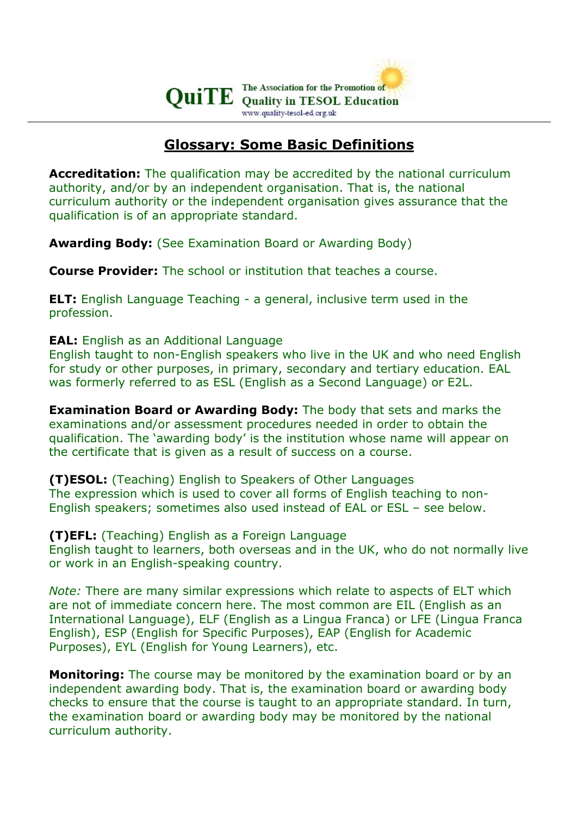

## Glossary: Some Basic Definitions

**Accreditation:** The qualification may be accredited by the national curriculum authority, and/or by an independent organisation. That is, the national curriculum authority or the independent organisation gives assurance that the qualification is of an appropriate standard.

Awarding Body: (See Examination Board or Awarding Body)

Course Provider: The school or institution that teaches a course.

ELT: English Language Teaching - a general, inclusive term used in the profession.

EAL: English as an Additional Language

English taught to non-English speakers who live in the UK and who need English for study or other purposes, in primary, secondary and tertiary education. EAL was formerly referred to as ESL (English as a Second Language) or E2L.

**Examination Board or Awarding Body:** The body that sets and marks the examinations and/or assessment procedures needed in order to obtain the qualification. The 'awarding body' is the institution whose name will appear on the certificate that is given as a result of success on a course.

(T)ESOL: (Teaching) English to Speakers of Other Languages The expression which is used to cover all forms of English teaching to non-English speakers; sometimes also used instead of EAL or ESL – see below.

(T)EFL: (Teaching) English as a Foreign Language English taught to learners, both overseas and in the UK, who do not normally live or work in an English-speaking country.

Note: There are many similar expressions which relate to aspects of ELT which are not of immediate concern here. The most common are EIL (English as an International Language), ELF (English as a Lingua Franca) or LFE (Lingua Franca English), ESP (English for Specific Purposes), EAP (English for Academic Purposes), EYL (English for Young Learners), etc.

**Monitoring:** The course may be monitored by the examination board or by an independent awarding body. That is, the examination board or awarding body checks to ensure that the course is taught to an appropriate standard. In turn, the examination board or awarding body may be monitored by the national curriculum authority.